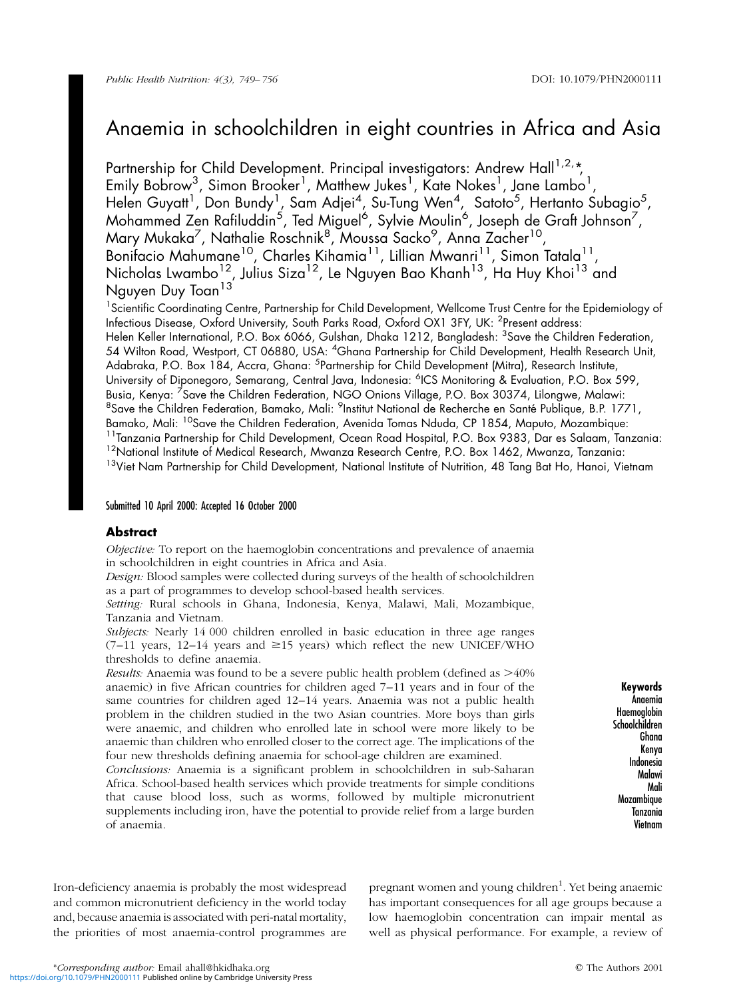# Anaemia in schoolchildren in eight countries in Africa and Asia

Partnership for Child Development. Principal investigators: Andrew Hall<sup>1,2,\*</sup>, Emily Bobrow<sup>3</sup>, Simon Brooker<sup>1</sup>, Matthew Jukes<sup>1</sup>, Kate Nokes<sup>1</sup>, Jane Lambo<sup>1</sup>, Helen Guyatt<sup>1</sup>, Don Bundy<sup>1</sup>, Sam Adjei<sup>4</sup>, Su-Tung Wen<sup>4</sup>, Satoto<sup>5</sup>, Hertanto Subagio<sup>5</sup>, Mohammed Zen Rafiluddin $^5$ , Ted Miguel $^6$ , Sylvie Moulin $^6$ , Joseph de Graft Johnson $^7$ , Mary Mukaka<sup>7</sup>, Nathalie Roschnik<sup>8</sup>, Moussa Sacko<sup>9</sup>, Anna Zacher<sup>10</sup>, Bonifacio Mahumane<sup>10</sup>, Charles Kihamia<sup>11</sup>, Lillian Mwanri<sup>11</sup>, Simon Tatala<sup>11</sup>, Nicholas Lwambo<sup>12</sup>, Julius Siza<sup>12</sup>, Le Nguyen Bao Khanh<sup>13</sup>, Ha Huy Khoi<sup>13</sup> and Nguyen Duy Toan<sup>13</sup>

<sup>1</sup>Scientific Coordinating Centre, Partnership for Child Development, Wellcome Trust Centre for the Epidemiology of Infectious Disease, Oxford University, South Parks Road, Oxford OX1 3FY, UK: <sup>2</sup>Present address: Helen Keller International, P.O. Box 6066, Gulshan, Dhaka 1212, Bangladesh: <sup>3</sup>Save the Children Federation, 54 Wilton Road, Westport, CT 06880, USA: <sup>4</sup>Ghana Partnership for Child Development, Health Research Unit, Adabraka, P.O. Box 184, Accra, Ghana: <sup>5</sup>Partnership for Child Development (Mitra), Research Institute, University of Diponegoro, Semarang, Central Java, Indonesia: <sup>6</sup>ICS Monitoring & Evaluation, P.O. Box 599, Busia, Kenya: <sup>7</sup>Save the Children Federation, NGO Onions Village, P.O. Box 30374, Lilongwe, Malawi: <sup>8</sup>Save the Children Federation, Bamako, Mali: <sup>9</sup>Institut National de Recherche en Santé Publique, B.P. 1771, Bamako, Mali: <sup>10</sup>Save the Children Federation, Avenida Tomas Nduda, CP 1854, Maputo, Mozambique: <sup>11</sup>Tanzania Partnership for Child Development, Ocean Road Hospital, P.O. Box 9383, Dar es Salaam, Tanzania: <sup>12</sup>National Institute of Medical Research, Mwanza Research Centre, P.O. Box 1462, Mwanza, Tanzania: <sup>13</sup>Viet Nam Partnership for Child Development, National Institute of Nutrition, 48 Tang Bat Ho, Hanoi, Vietnam

## Submitted 10 April 2000: Accepted 16 October 2000

## Abstract

Objective: To report on the haemoglobin concentrations and prevalence of anaemia in schoolchildren in eight countries in Africa and Asia.

Design: Blood samples were collected during surveys of the health of schoolchildren as a part of programmes to develop school-based health services.

Setting: Rural schools in Ghana, Indonesia, Kenya, Malawi, Mali, Mozambique, Tanzania and Vietnam.

Subjects: Nearly 14 000 children enrolled in basic education in three age ranges  $(7-11)$  years,  $12-14$  years and  $\geq 15$  years) which reflect the new UNICEF/WHO thresholds to define anaemia.

*Results:* Anaemia was found to be a severe public health problem (defined as  $>40\%$ ) anaemic) in five African countries for children aged  $7-11$  years and in four of the same countries for children aged 12-14 years. Anaemia was not a public health problem in the children studied in the two Asian countries. More boys than girls were anaemic, and children who enrolled late in school were more likely to be anaemic than children who enrolled closer to the correct age. The implications of the four new thresholds defining anaemia for school-age children are examined.

Conclusions: Anaemia is a significant problem in schoolchildren in sub-Saharan Africa. School-based health services which provide treatments for simple conditions that cause blood loss, such as worms, followed by multiple micronutrient supplements including iron, have the potential to provide relief from a large burden of anaemia.

Keywords Anaemia Haemoglobin Schoolchildren Ghana Kenya Indonesia Malawi Mali Mozambique Tanzania Vietnam

Iron-deficiency anaemia is probably the most widespread and common micronutrient deficiency in the world today and, because anaemia is associated with peri-natal mortality, the priorities of most anaemia-control programmes are

pregnant women and young children<sup>1</sup>. Yet being anaemic has important consequences for all age groups because a low haemoglobin concentration can impair mental as well as physical performance. For example, a review of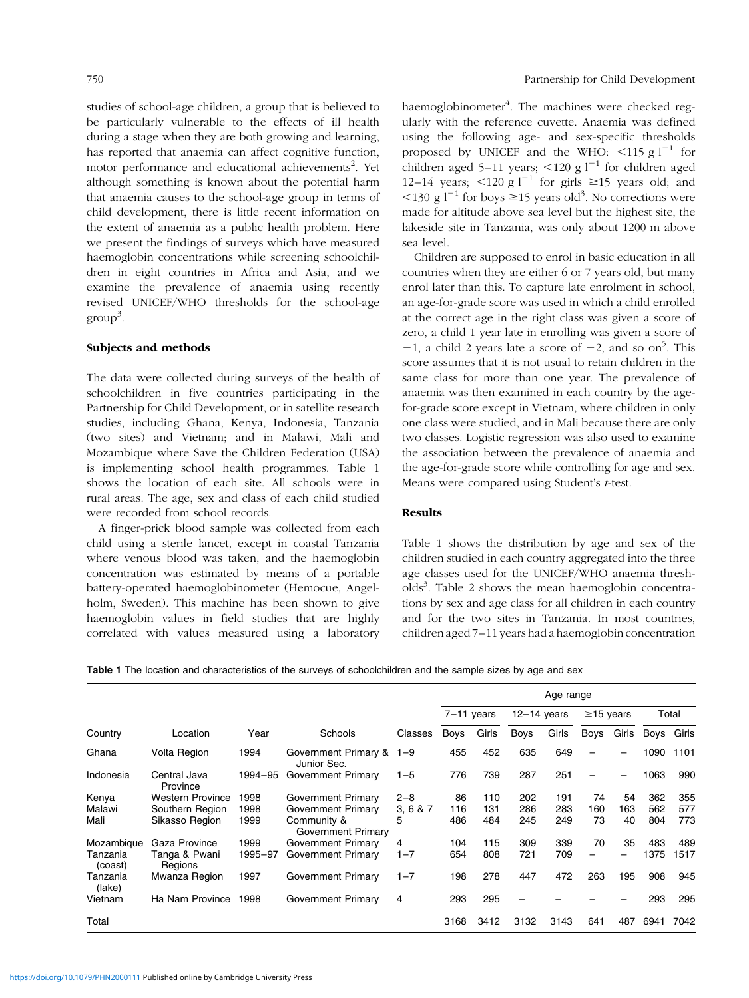studies of school-age children, a group that is believed to be particularly vulnerable to the effects of ill health during a stage when they are both growing and learning, has reported that anaemia can affect cognitive function, motor performance and educational achievements<sup>2</sup>. Yet although something is known about the potential harm that anaemia causes to the school-age group in terms of child development, there is little recent information on the extent of anaemia as a public health problem. Here we present the findings of surveys which have measured haemoglobin concentrations while screening schoolchildren in eight countries in Africa and Asia, and we examine the prevalence of anaemia using recently revised UNICEF/WHO thresholds for the school-age group<sup>3</sup> .

### Subjects and methods

The data were collected during surveys of the health of schoolchildren in five countries participating in the Partnership for Child Development, or in satellite research studies, including Ghana, Kenya, Indonesia, Tanzania (two sites) and Vietnam; and in Malawi, Mali and Mozambique where Save the Children Federation (USA) is implementing school health programmes. Table 1 shows the location of each site. All schools were in rural areas. The age, sex and class of each child studied were recorded from school records.

A finger-prick blood sample was collected from each child using a sterile lancet, except in coastal Tanzania where venous blood was taken, and the haemoglobin concentration was estimated by means of a portable battery-operated haemoglobinometer (Hemocue, Angelholm, Sweden). This machine has been shown to give haemoglobin values in field studies that are highly correlated with values measured using a laboratory

haemoglobinometer<sup>4</sup>. The machines were checked regularly with the reference cuvette. Anaemia was defined using the following age- and sex-specific thresholds proposed by UNICEF and the WHO:  $\leq 115$  g l<sup>-1</sup> for children aged 5-11 years; <120 g  $l^{-1}$  for children aged 12-14 years; <120 g l<sup>-1</sup> for girls  $\geq$ 15 years old; and  $\leq$ 130 g l<sup>-1</sup> for boys  $\geq$ 15 years old<sup>3</sup>. No corrections were made for altitude above sea level but the highest site, the lakeside site in Tanzania, was only about 1200 m above sea level.

Children are supposed to enrol in basic education in all countries when they are either 6 or 7 years old, but many enrol later than this. To capture late enrolment in school, an age-for-grade score was used in which a child enrolled at the correct age in the right class was given a score of zero, a child 1 year late in enrolling was given a score of  $-1$ , a child 2 years late a score of  $-2$ , and so on<sup>5</sup>. This score assumes that it is not usual to retain children in the same class for more than one year. The prevalence of anaemia was then examined in each country by the agefor-grade score except in Vietnam, where children in only one class were studied, and in Mali because there are only two classes. Logistic regression was also used to examine the association between the prevalence of anaemia and the age-for-grade score while controlling for age and sex. Means were compared using Student's t-test.

## Results

Table 1 shows the distribution by age and sex of the children studied in each country aggregated into the three age classes used for the UNICEF/WHO anaemia thresh-olds<sup>3</sup>[. Table 2 s](#page-2-0)hows the mean haemoglobin concentrations by sex and age class for all children in each country and for the two sites in Tanzania. In most countries, children aged 7-11 years had a haemoglobin concentration

Table 1 The location and characteristics of the surveys of schoolchildren and the sample sizes by age and sex

| Country             |                          |         |                                          | Classes  | Age range    |       |                 |       |                 |       |       |       |  |
|---------------------|--------------------------|---------|------------------------------------------|----------|--------------|-------|-----------------|-------|-----------------|-------|-------|-------|--|
|                     |                          |         |                                          |          | $7-11$ years |       | $12 - 14$ years |       | $\geq$ 15 years |       | Total |       |  |
|                     | Location                 | Year    | Schools                                  |          | Boys         | Girls | Boys            | Girls | <b>Boys</b>     | Girls | Boys  | Girls |  |
| Ghana               | Volta Region             | 1994    | Government Primary &<br>Junior Sec.      | $1 - 9$  | 455          | 452   | 635             | 649   |                 |       | 1090  | 1101  |  |
| Indonesia           | Central Java<br>Province | 1994-95 | Government Primary                       | $1 - 5$  | 776          | 739   | 287             | 251   |                 |       | 1063  | 990   |  |
| Kenya               | <b>Western Province</b>  | 1998    | Government Primary                       | $2 - 8$  | 86           | 110   | 202             | 191   | 74              | 54    | 362   | 355   |  |
| Malawi              | Southern Region          | 1998    | Government Primary                       | 3, 6 & 7 | 116          | 131   | 286             | 283   | 160             | 163   | 562   | 577   |  |
| Mali                | Sikasso Region           | 1999    | Community &<br><b>Government Primary</b> | 5        | 486          | 484   | 245             | 249   | 73              | 40    | 804   | 773   |  |
| Mozambique          | Gaza Province            | 1999    | Government Primary                       | 4        | 104          | 115   | 309             | 339   | 70              | 35    | 483   | 489   |  |
| Tanzania<br>(coast) | Tanga & Pwani<br>Regions | 1995-97 | Government Primary                       | $1 - 7$  | 654          | 808   | 721             | 709   |                 |       | 1375  | 1517  |  |
| Tanzania<br>(lake)  | Mwanza Region            | 1997    | Government Primary                       | $1 - 7$  | 198          | 278   | 447             | 472   | 263             | 195   | 908   | 945   |  |
| Vietnam             | Ha Nam Province          | 1998    | Government Primary                       | 4        | 293          | 295   |                 |       |                 |       | 293   | 295   |  |
| Total               |                          |         |                                          |          | 3168         | 3412  | 3132            | 3143  | 641             | 487   | 6941  | 7042  |  |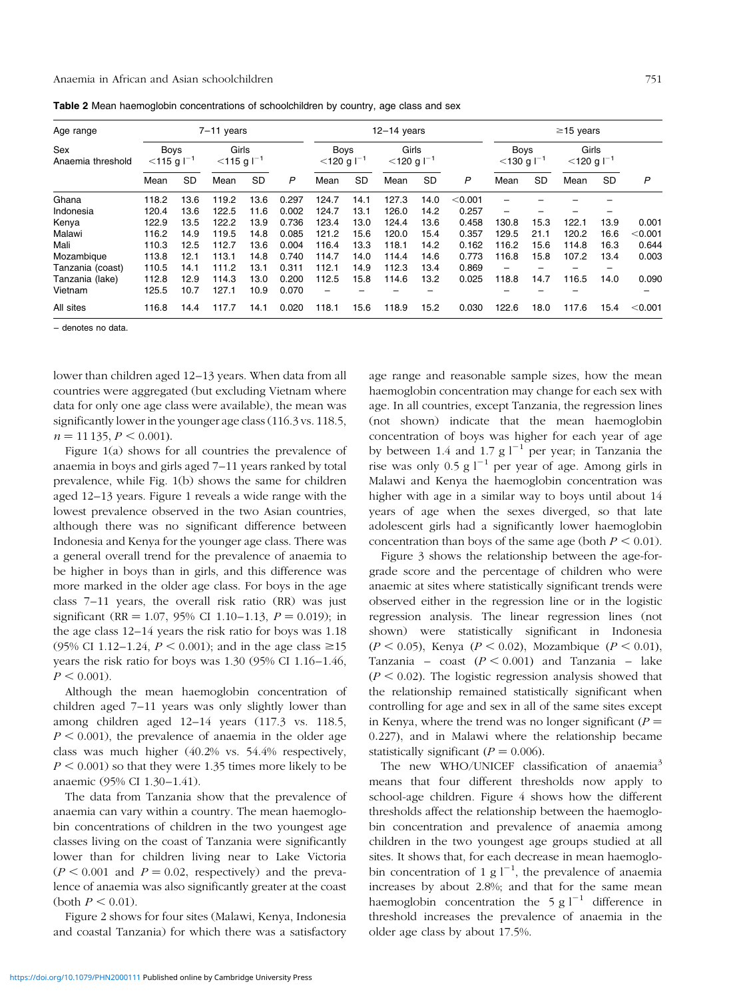<span id="page-2-0"></span>Anaemia in African and Asian schoolchildren 751

| Age range                | $7-11$ years                             |           |                                    |           |              |                                          | $12-14$ years |                                    | $\geq$ 15 years |         |                                          |           |                                    |           |           |
|--------------------------|------------------------------------------|-----------|------------------------------------|-----------|--------------|------------------------------------------|---------------|------------------------------------|-----------------|---------|------------------------------------------|-----------|------------------------------------|-----------|-----------|
| Sex<br>Anaemia threshold | <b>Boys</b><br>$<$ 115 g l <sup>-1</sup> |           | Girls<br>$<$ 115 g l <sup>-1</sup> |           |              | <b>Boys</b><br>$<$ 120 g l <sup>-1</sup> |               | Girls<br>$<$ 120 g l <sup>-1</sup> |                 |         | <b>Boys</b><br>$<$ 130 g l <sup>-1</sup> |           | Girls<br>$<$ 120 g l <sup>-1</sup> |           |           |
|                          | Mean                                     | <b>SD</b> | Mean                               | <b>SD</b> | $\mathsf{P}$ | Mean                                     | <b>SD</b>     | Mean                               | <b>SD</b>       | P       | Mean                                     | <b>SD</b> | Mean                               | <b>SD</b> | P         |
| Ghana                    | 118.2                                    | 13.6      | 119.2                              | 13.6      | 0.297        | 124.7                                    | 14.1          | 127.3                              | 14.0            | < 0.001 |                                          |           |                                    |           |           |
| Indonesia                | 120.4                                    | 13.6      | 122.5                              | 11.6      | 0.002        | 124.7                                    | 13.1          | 126.0                              | 14.2            | 0.257   | —                                        |           |                                    |           |           |
| Kenya                    | 122.9                                    | 13.5      | 122.2                              | 13.9      | 0.736        | 123.4                                    | 13.0          | 124.4                              | 13.6            | 0.458   | 130.8                                    | 15.3      | 122.1                              | 13.9      | 0.001     |
| Malawi                   | 116.2                                    | 14.9      | 119.5                              | 14.8      | 0.085        | 121.2                                    | 15.6          | 120.0                              | 15.4            | 0.357   | 129.5                                    | 21.1      | 120.2                              | 16.6      | < 0.001   |
| Mali                     | 110.3                                    | 12.5      | 112.7                              | 13.6      | 0.004        | 116.4                                    | 13.3          | 118.1                              | 14.2            | 0.162   | 116.2                                    | 15.6      | 114.8                              | 16.3      | 0.644     |
| Mozambique               | 113.8                                    | 12.1      | 113.1                              | 14.8      | 0.740        | 114.7                                    | 14.0          | 114.4                              | 14.6            | 0.773   | 116.8                                    | 15.8      | 107.2                              | 13.4      | 0.003     |
| Tanzania (coast)         | 110.5                                    | 14.1      | 111.2                              | 13.1      | 0.311        | 112.1                                    | 14.9          | 112.3                              | 13.4            | 0.869   | —                                        |           |                                    |           |           |
| Tanzania (lake)          | 112.8                                    | 12.9      | 114.3                              | 13.0      | 0.200        | 112.5                                    | 15.8          | 114.6                              | 13.2            | 0.025   | 118.8                                    | 14.7      | 116.5                              | 14.0      | 0.090     |
| Vietnam                  | 125.5                                    | 10.7      | 127.1                              | 10.9      | 0.070        | -                                        |               |                                    |                 |         |                                          |           |                                    |           |           |
| All sites                | 116.8                                    | 14.4      | 117.7                              | 14.1      | 0.020        | 118.1                                    | 15.6          | 118.9                              | 15.2            | 0.030   | 122.6                                    | 18.0      | 117.6                              | 15.4      | $<$ 0.001 |

Table 2 Mean haemoglobin concentrations of schoolchildren by country, age class and sex

± denotes no data.

lower than children aged 12-13 years. When data from all countries were aggregated (but excluding Vietnam where data for only one age class were available), the mean was significantly lower in the younger age class (116.3 vs. 118.5,  $n = 11 135, P \le 0.001$ ).

[Figure 1\(a\)](#page-3-0) shows for all countries the prevalence of anaemia in boys and girls aged 7-11 years ranked by total prevalence, whil[e Fig. 1\(b\)](#page-3-0) shows the same for children aged 12-13 years. [Figure 1](#page-3-0) reveals a wide range with the lowest prevalence observed in the two Asian countries, although there was no significant difference between Indonesia and Kenya for the younger age class. There was a general overall trend for the prevalence of anaemia to be higher in boys than in girls, and this difference was more marked in the older age class. For boys in the age class  $7-11$  years, the overall risk ratio (RR) was just significant (RR = 1.07, 95% CI 1.10-1.13,  $P = 0.019$ ); in the age class  $12-14$  years the risk ratio for boys was  $1.18$ (95% CI 1.12-1.24,  $P < 0.001$ ); and in the age class  $\geq 15$ years the risk ratio for boys was  $1.30$  (95% CI  $1.16-1.46$ ,  $P < 0.001$ ).

Although the mean haemoglobin concentration of children aged  $7-11$  years was only slightly lower than among children aged 12-14 years (117.3 vs. 118.5,  $P < 0.001$ ), the prevalence of anaemia in the older age class was much higher (40.2% vs. 54.4% respectively,  $P \le 0.001$ ) so that they were 1.35 times more likely to be anaemic (95% CI 1.30-1.41).

The data from Tanzania show that the prevalence of anaemia can vary within a country. The mean haemoglobin concentrations of children in the two youngest age classes living on the coast of Tanzania were significantly lower than for children living near to Lake Victoria  $(P < 0.001$  and  $P = 0.02$ , respectively) and the prevalence of anaemia was also significantly greater at the coast (both  $P \leq 0.01$ ).

[Figure 2 s](#page-4-0)hows for four sites (Malawi, Kenya, Indonesia and coastal Tanzania) for which there was a satisfactory

age range and reasonable sample sizes, how the mean haemoglobin concentration may change for each sex with age. In all countries, except Tanzania, the regression lines (not shown) indicate that the mean haemoglobin concentration of boys was higher for each year of age by between 1.4 and 1.7 g  $1^{-1}$  per year; in Tanzania the rise was only 0.5 g  $l^{-1}$  per year of age. Among girls in Malawi and Kenya the haemoglobin concentration was higher with age in a similar way to boys until about 14 years of age when the sexes diverged, so that late adolescent girls had a significantly lower haemoglobin concentration than boys of the same age (both  $P < 0.01$ ).

[Figure 3](#page-4-0) shows the relationship between the age-forgrade score and the percentage of children who were anaemic at sites where statistically significant trends were observed either in the regression line or in the logistic regression analysis. The linear regression lines (not shown) were statistically significant in Indonesia  $(P < 0.05)$ , Kenya  $(P < 0.02)$ , Mozambique  $(P < 0.01)$ , Tanzania – coast  $(P < 0.001)$  and Tanzania – lake  $(P < 0.02)$ . The logistic regression analysis showed that the relationship remained statistically significant when controlling for age and sex in all of the same sites except in Kenya, where the trend was no longer significant  $(P =$ 0.227), and in Malawi where the relationship became statistically significant  $(P = 0.006)$ .

The new WHO/UNICEF classification of anaemia<sup>3</sup> means that four different thresholds now apply to school-age children. [Figure 4 s](#page-5-0)hows how the different thresholds affect the relationship between the haemoglobin concentration and prevalence of anaemia among children in the two youngest age groups studied at all sites. It shows that, for each decrease in mean haemoglobin concentration of 1 g  $l^{-1}$ , the prevalence of anaemia increases by about 2.8%; and that for the same mean haemoglobin concentration the  $5 g l^{-1}$  difference in threshold increases the prevalence of anaemia in the older age class by about 17.5%.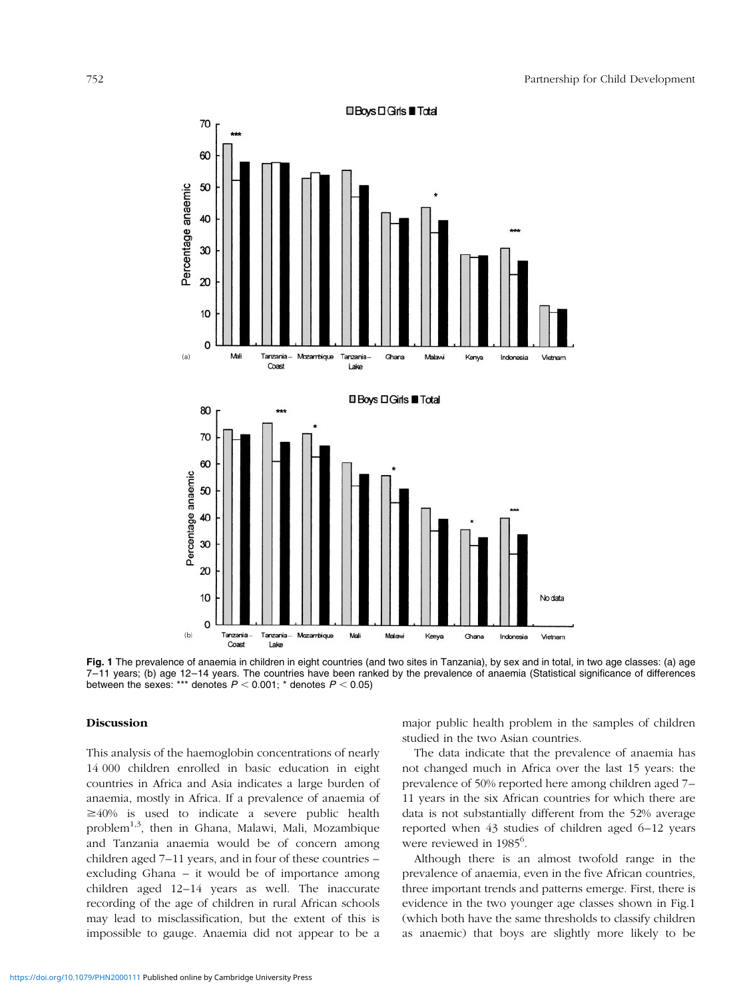<span id="page-3-0"></span>

Fig. 1 The prevalence of anaemia in children in eight countries (and two sites in Tanzania), by sex and in total, in two age classes: (a) age 7-11 years; (b) age 12-14 years. The countries have been ranked by the prevalence of anaemia (Statistical significance of differences between the sexes: \*\*\* denotes  $P < 0.001$ ; \* denotes  $P < 0.05$ )

#### Discussion

This analysis of the haemoglobin concentrations of nearly 14 000 children enrolled in basic education in eight countries in Africa and Asia indicates a large burden of anaemia, mostly in Africa. If a prevalence of anaemia of  $\geq 40\%$  is used to indicate a severe public health problem1,3, then in Ghana, Malawi, Mali, Mozambique and Tanzania anaemia would be of concern among children aged  $7-11$  years, and in four of these countries  $$ excluding Ghana  $-$  it would be of importance among children aged 12-14 years as well. The inaccurate recording of the age of children in rural African schools may lead to misclassification, but the extent of this is impossible to gauge. Anaemia did not appear to be a

major public health problem in the samples of children studied in the two Asian countries.

The data indicate that the prevalence of anaemia has not changed much in Africa over the last 15 years: the prevalence of 50% reported here among children aged 7– 11 years in the six African countries for which there are data is not substantially different from the 52% average reported when 43 studies of children aged 6-12 years were reviewed in 1985<sup>6</sup>.

Although there is an almost twofold range in the prevalence of anaemia, even in the five African countries, three important trends and patterns emerge. First, there is evidence in the two younger age classes shown in Fig.1 (which both have the same thresholds to classify children as anaemic) that boys are slightly more likely to be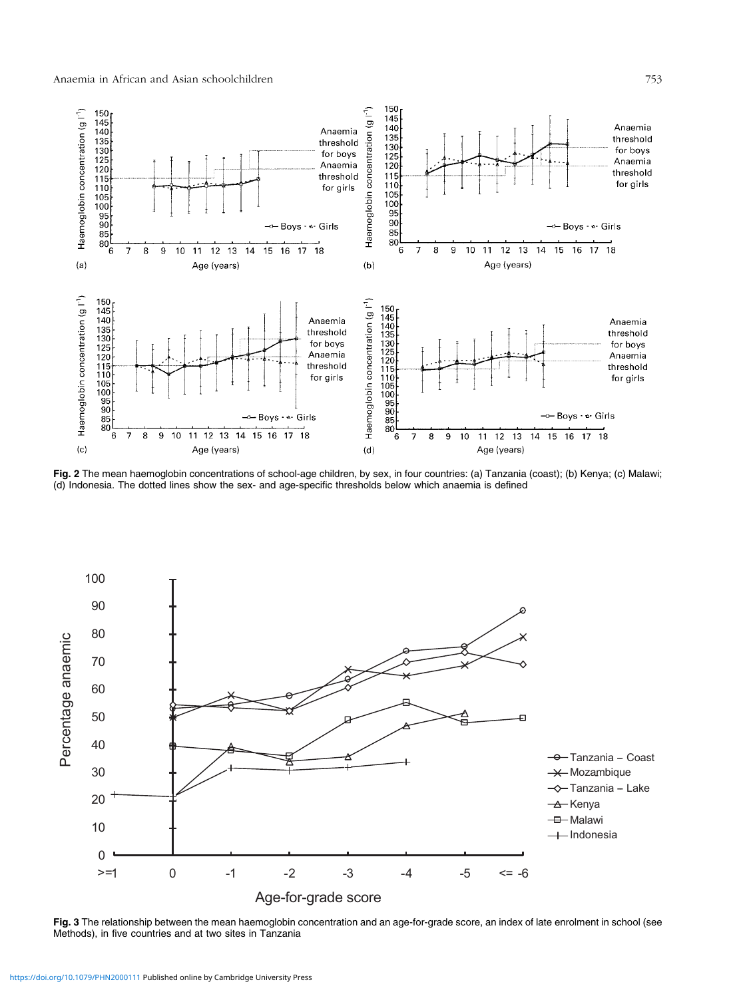<span id="page-4-0"></span>

Fig. 2 The mean haemoglobin concentrations of school-age children, by sex, in four countries: (a) Tanzania (coast); (b) Kenya; (c) Malawi; (d) Indonesia. The dotted lines show the sex- and age-specific thresholds below which anaemia is defined



Fig. 3 The relationship between the mean haemoglobin concentration and an age-for-grade score, an index of late enrolment in school (see Methods), in five countries and at two sites in Tanzania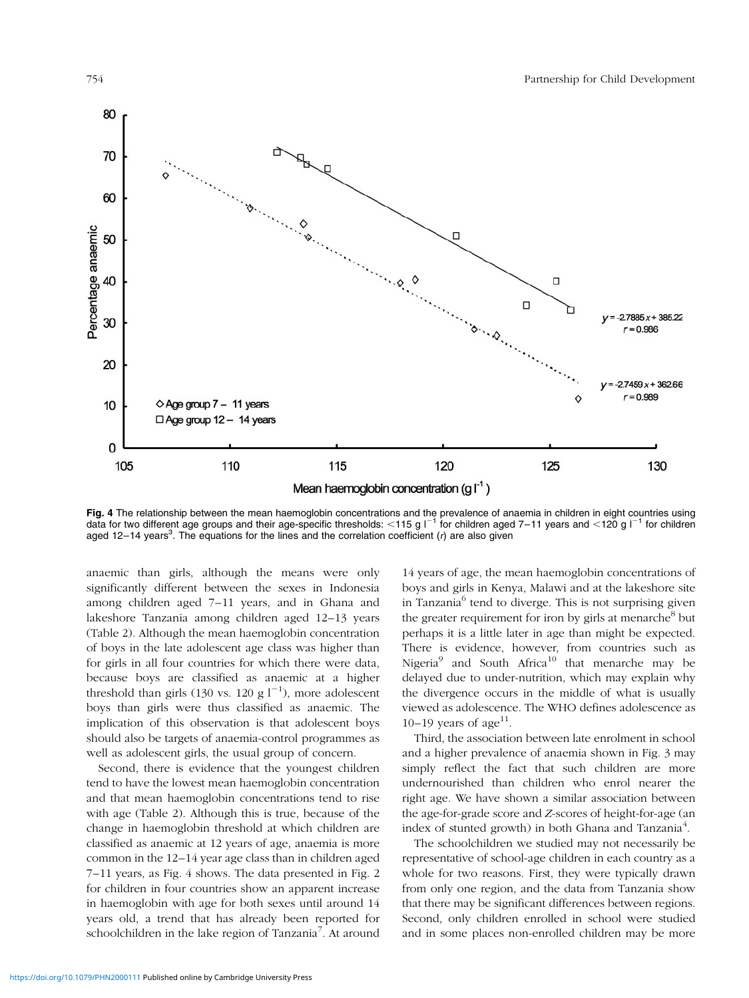<span id="page-5-0"></span>

**Fig. 4** The relationship between the mean haemoglobin concentrations and the prevalence of anaemia in children in eight countries using<br>data for two different age groups and their age-specific thresholds: <115 g l<sup>-1</sup> for aged 12-14 years<sup>3</sup>. The equations for the lines and the correlation coefficient (r) are also given

anaemic than girls, although the means were only significantly different between the sexes in Indonesia among children aged 7-11 years, and in Ghana and lakeshore Tanzania among children aged 12–13 years [\(Table 2\).](#page-2-0) Although the mean haemoglobin concentration of boys in the late adolescent age class was higher than for girls in all four countries for which there were data, because boys are classified as anaemic at a higher threshold than girls (130 vs. 120 g  $l^{-1}$ ), more adolescent boys than girls were thus classified as anaemic. The implication of this observation is that adolescent boys should also be targets of anaemia-control programmes as well as adolescent girls, the usual group of concern.

Second, there is evidence that the youngest children tend to have the lowest mean haemoglobin concentration and that mean haemoglobin concentrations tend to rise with age [\(Table 2\).](#page-2-0) Although this is true, because of the change in haemoglobin threshold at which children are classified as anaemic at 12 years of age, anaemia is more common in the 12–14 year age class than in children aged 7-11 years, as Fig. 4 shows. The data presented i[n Fig. 2](#page-4-0) for children in four countries show an apparent increase in haemoglobin with age for both sexes until around 14 years old, a trend that has already been reported for schoolchildren in the lake region of Tanzania<sup>7</sup>. At around

14 years of age, the mean haemoglobin concentrations of boys and girls in Kenya, Malawi and at the lakeshore site in Tanzania<sup>6</sup> tend to diverge. This is not surprising given the greater requirement for iron by girls at menarche<sup>8</sup> but perhaps it is a little later in age than might be expected. There is evidence, however, from countries such as Nigeria<sup>9</sup> and South Africa<sup>10</sup> that menarche may be delayed due to under-nutrition, which may explain why the divergence occurs in the middle of what is usually viewed as adolescence. The WHO defines adolescence as  $10-19$  years of age<sup>11</sup>.

Third, the association between late enrolment in school and a higher prevalence of anaemia shown i[n Fig. 3 m](#page-4-0)ay simply reflect the fact that such children are more undernourished than children who enrol nearer the right age. We have shown a similar association between the age-for-grade score and Z-scores of height-for-age (an index of stunted growth) in both Ghana and Tanzania<sup>4</sup>.

The schoolchildren we studied may not necessarily be representative of school-age children in each country as a whole for two reasons. First, they were typically drawn from only one region, and the data from Tanzania show that there may be significant differences between regions. Second, only children enrolled in school were studied and in some places non-enrolled children may be more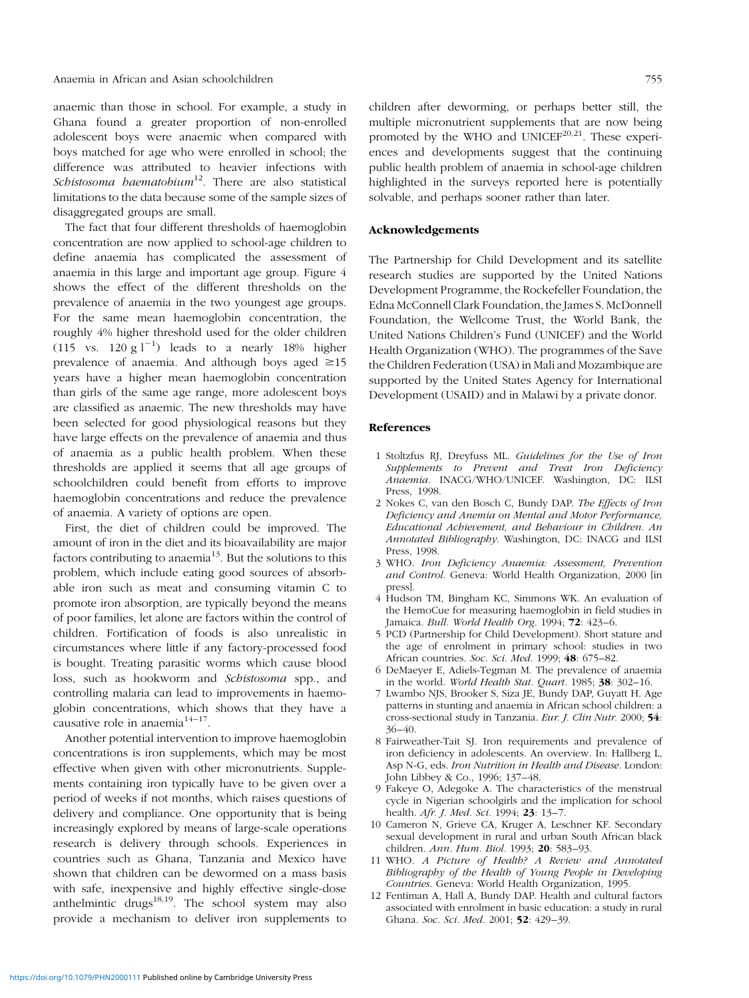anaemic than those in school. For example, a study in Ghana found a greater proportion of non-enrolled adolescent boys were anaemic when compared with boys matched for age who were enrolled in school; the difference was attributed to heavier infections with Schistosoma haematobium<sup>12</sup>. There are also statistical limitations to the data because some of the sample sizes of disaggregated groups are small.

The fact that four different thresholds of haemoglobin concentration are now applied to school-age children to define anaemia has complicated the assessment of anaemia in this large and important age group. [Figure 4](#page-5-0) shows the effect of the different thresholds on the prevalence of anaemia in the two youngest age groups. For the same mean haemoglobin concentration, the roughly 4% higher threshold used for the older children  $(115 \text{ vs. } 120 \text{ g l}^{-1})$  leads to a nearly 18% higher prevalence of anaemia. And although boys aged  $\geq 15$ years have a higher mean haemoglobin concentration than girls of the same age range, more adolescent boys are classified as anaemic. The new thresholds may have been selected for good physiological reasons but they have large effects on the prevalence of anaemia and thus of anaemia as a public health problem. When these thresholds are applied it seems that all age groups of schoolchildren could benefit from efforts to improve haemoglobin concentrations and reduce the prevalence of anaemia. A variety of options are open.

First, the diet of children could be improved. The amount of iron in the diet and its bioavailability are major factors contributing to anaemia<sup>13</sup>. But the solutions to this problem, which include eating good sources of absorbable iron such as meat and consuming vitamin C to promote iron absorption, are typically beyond the means of poor families, let alone are factors within the control of children. Fortification of foods is also unrealistic in circumstances where little if any factory-processed food is bought. Treating parasitic worms which cause blood loss, such as hookworm and Schistosoma spp., and controlling malaria can lead to improvements in haemoglobin concentrations, which shows that they have a causative role in anaemia $14-17$ .

Another potential intervention to improve haemoglobin concentrations is iron supplements, which may be most effective when given with other micronutrients. Supplements containing iron typically have to be given over a period of weeks if not months, which raises questions of delivery and compliance. One opportunity that is being increasingly explored by means of large-scale operations research is delivery through schools. Experiences in countries such as Ghana, Tanzania and Mexico have shown that children can be dewormed on a mass basis with safe, inexpensive and highly effective single-dose anthelmintic drugs $^{18,19}$ . The school system may also provide a mechanism to deliver iron supplements to

children after deworming, or perhaps better still, the multiple micronutrient supplements that are now being promoted by the WHO and UNICE $F^{20,21}$ . These experiences and developments suggest that the continuing public health problem of anaemia in school-age children highlighted in the surveys reported here is potentially solvable, and perhaps sooner rather than later.

#### Acknowledgements

The Partnership for Child Development and its satellite research studies are supported by the United Nations Development Programme, the Rockefeller Foundation, the Edna McConnell Clark Foundation, the James S. McDonnell Foundation, the Wellcome Trust, the World Bank, the United Nations Children's Fund (UNICEF) and the World Health Organization (WHO). The programmes of the Save the Children Federation (USA) in Mali and Mozambique are supported by the United States Agency for International Development (USAID) and in Malawi by a private donor.

#### References

- 1 Stoltzfus RJ, Dreyfuss ML. Guidelines for the Use of Iron Supplements to Prevent and Treat Iron Deficiency Anaemia. INACG/WHO/UNICEF. Washington, DC: ILSI Press, 1998.
- 2 Nokes C, van den Bosch C, Bundy DAP. The Effects of Iron Deficiency and Anemia on Mental and Motor Performance, Educational Achievement, and Behaviour in Children. An Annotated Bibliography. Washington, DC: INACG and ILSI Press, 1998.
- 3 WHO. Iron Deficiency Anaemia: Assessment, Prevention and Control. Geneva: World Health Organization, 2000 [in press].
- 4 Hudson TM, Bingham KC, Simmons WK. An evaluation of the HemoCue for measuring haemoglobin in field studies in Jamaica. Bull. World Health Org.  $1994$ ;  $72: 423-6$ .
- 5 PCD (Partnership for Child Development). Short stature and the age of enrolment in primary school: studies in two African countries. Soc. Sci. Med. 1999; 48: 675-82.
- 6 DeMaeyer E, Adiels-Tegman M. The prevalence of anaemia in the world. World Health Stat. Quart. 1985;  $38: 302-16$ .
- 7 Lwambo NJS, Brooker S, Siza JE, Bundy DAP, Guyatt H. Age patterns in stunting and anaemia in African school children: a cross-sectional study in Tanzania. Eur. J. Clin Nutr. 2000; 54:  $36-40.$
- 8 Fairweather-Tait SJ. Iron requirements and prevalence of iron deficiency in adolescents. An overview. In: Hallberg L, Asp N-G, eds. Iron Nutrition in Health and Disease. London: John Libbey & Co., 1996; 137-48.
- 9 Fakeye O, Adegoke A. The characteristics of the menstrual cycle in Nigerian schoolgirls and the implication for school health. Afr. J. Med. Sci. 1994; 23: 13-7.
- 10 Cameron N, Grieve CA, Kruger A, Leschner KF. Secondary sexual development in rural and urban South African black children. Ann. Hum. Biol. 1993; 20: 583-93.
- 11 WHO. A Picture of Health? A Review and Annotated Bibliography of the Health of Young People in Developing Countries. Geneva: World Health Organization, 1995.
- 12 Fentiman A, Hall A, Bundy DAP. Health and cultural factors associated with enrolment in basic education: a study in rural Ghana. Soc. Sci. Med. 2001; 52: 429-39.